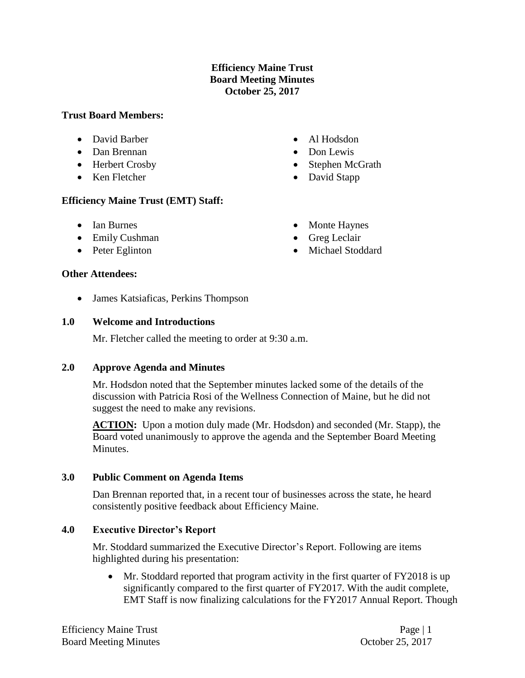# **Efficiency Maine Trust Board Meeting Minutes October 25, 2017**

## **Trust Board Members:**

- David Barber
- Dan Brennan
- Herbert Crosby
- Ken Fletcher

# **Efficiency Maine Trust (EMT) Staff:**

- Ian Burnes
- Emily Cushman
- Peter Eglinton

### **Other Attendees:**

• James Katsiaficas, Perkins Thompson

### **1.0 Welcome and Introductions**

Mr. Fletcher called the meeting to order at 9:30 a.m.

# **2.0 Approve Agenda and Minutes**

Mr. Hodsdon noted that the September minutes lacked some of the details of the discussion with Patricia Rosi of the Wellness Connection of Maine, but he did not suggest the need to make any revisions.

**ACTION:** Upon a motion duly made (Mr. Hodsdon) and seconded (Mr. Stapp), the Board voted unanimously to approve the agenda and the September Board Meeting Minutes.

#### **3.0 Public Comment on Agenda Items**

Dan Brennan reported that, in a recent tour of businesses across the state, he heard consistently positive feedback about Efficiency Maine.

#### **4.0 Executive Director's Report**

Mr. Stoddard summarized the Executive Director's Report. Following are items highlighted during his presentation:

• Mr. Stoddard reported that program activity in the first quarter of FY2018 is up significantly compared to the first quarter of FY2017. With the audit complete, EMT Staff is now finalizing calculations for the FY2017 Annual Report. Though

- Monte Haynes
- Greg Leclair

• Al Hodsdon • Don Lewis

• Stephen McGrath • David Stapp

• Michael Stoddard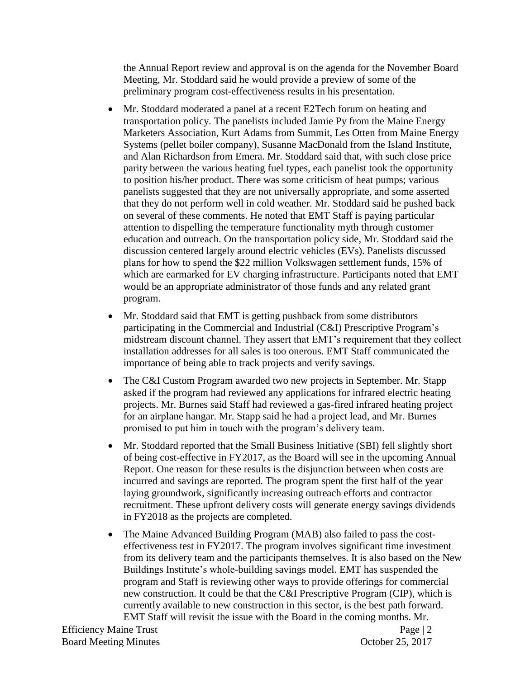the Annual Report review and approval is on the agenda for the November Board Meeting, Mr. Stoddard said he would provide a preview of some of the preliminary program cost-effectiveness results in his presentation.

- Mr. Stoddard moderated a panel at a recent E2Tech forum on heating and transportation policy. The panelists included Jamie Py from the Maine Energy Marketers Association, Kurt Adams from Summit, Les Otten from Maine Energy Systems (pellet boiler company), Susanne MacDonald from the Island Institute, and Alan Richardson from Emera. Mr. Stoddard said that, with such close price parity between the various heating fuel types, each panelist took the opportunity to position his/her product. There was some criticism of heat pumps; various panelists suggested that they are not universally appropriate, and some asserted that they do not perform well in cold weather. Mr. Stoddard said he pushed back on several of these comments. He noted that EMT Staff is paying particular attention to dispelling the temperature functionality myth through customer education and outreach. On the transportation policy side, Mr. Stoddard said the discussion centered largely around electric vehicles (EVs). Panelists discussed plans for how to spend the \$22 million Volkswagen settlement funds, 15% of which are earmarked for EV charging infrastructure. Participants noted that EMT would be an appropriate administrator of those funds and any related grant program.
- Mr. Stoddard said that EMT is getting pushback from some distributors participating in the Commercial and Industrial (C&I) Prescriptive Program's midstream discount channel. They assert that EMT's requirement that they collect installation addresses for all sales is too onerous. EMT Staff communicated the importance of being able to track projects and verify savings.
- The C&I Custom Program awarded two new projects in September. Mr. Stapp asked if the program had reviewed any applications for infrared electric heating projects. Mr. Burnes said Staff had reviewed a gas-fired infrared heating project for an airplane hangar. Mr. Stapp said he had a project lead, and Mr. Burnes promised to put him in touch with the program's delivery team.
- Mr. Stoddard reported that the Small Business Initiative (SBI) fell slightly short of being cost-effective in FY2017, as the Board will see in the upcoming Annual Report. One reason for these results is the disjunction between when costs are incurred and savings are reported. The program spent the first half of the year laying groundwork, significantly increasing outreach efforts and contractor recruitment. These upfront delivery costs will generate energy savings dividends in FY2018 as the projects are completed.
- The Maine Advanced Building Program (MAB) also failed to pass the costeffectiveness test in FY2017. The program involves significant time investment from its delivery team and the participants themselves. It is also based on the New Buildings Institute's whole-building savings model. EMT has suspended the program and Staff is reviewing other ways to provide offerings for commercial new construction. It could be that the C&I Prescriptive Program (CIP), which is currently available to new construction in this sector, is the best path forward. EMT Staff will revisit the issue with the Board in the coming months. Mr.

Efficiency Maine Trust Page | 2 Board Meeting Minutes **Contact Contact Contact Contact Contact Contact Contact Contact Contact Contact Contact Contact Contact Contact Contact Contact Contact Contact Contact Contact Contact Contact Contact Contact Contact**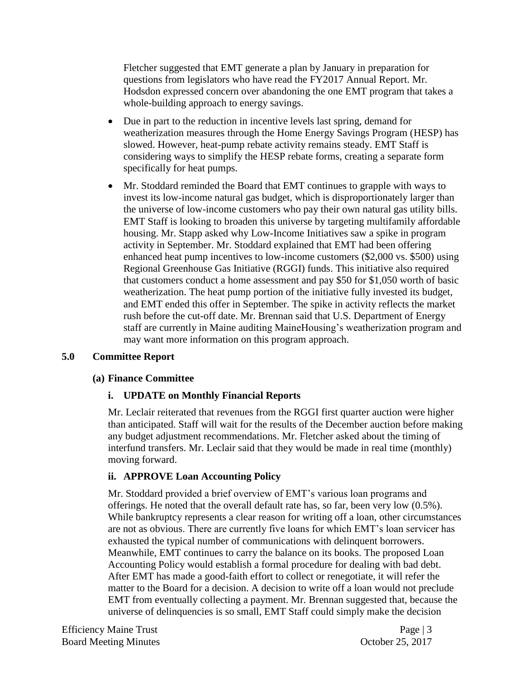Fletcher suggested that EMT generate a plan by January in preparation for questions from legislators who have read the FY2017 Annual Report. Mr. Hodsdon expressed concern over abandoning the one EMT program that takes a whole-building approach to energy savings.

- Due in part to the reduction in incentive levels last spring, demand for weatherization measures through the Home Energy Savings Program (HESP) has slowed. However, heat-pump rebate activity remains steady. EMT Staff is considering ways to simplify the HESP rebate forms, creating a separate form specifically for heat pumps.
- Mr. Stoddard reminded the Board that EMT continues to grapple with ways to invest its low-income natural gas budget, which is disproportionately larger than the universe of low-income customers who pay their own natural gas utility bills. EMT Staff is looking to broaden this universe by targeting multifamily affordable housing. Mr. Stapp asked why Low-Income Initiatives saw a spike in program activity in September. Mr. Stoddard explained that EMT had been offering enhanced heat pump incentives to low-income customers (\$2,000 vs. \$500) using Regional Greenhouse Gas Initiative (RGGI) funds. This initiative also required that customers conduct a home assessment and pay \$50 for \$1,050 worth of basic weatherization. The heat pump portion of the initiative fully invested its budget, and EMT ended this offer in September. The spike in activity reflects the market rush before the cut-off date. Mr. Brennan said that U.S. Department of Energy staff are currently in Maine auditing MaineHousing's weatherization program and may want more information on this program approach.

# **5.0 Committee Report**

#### **(a) Finance Committee**

# **i. UPDATE on Monthly Financial Reports**

Mr. Leclair reiterated that revenues from the RGGI first quarter auction were higher than anticipated. Staff will wait for the results of the December auction before making any budget adjustment recommendations. Mr. Fletcher asked about the timing of interfund transfers. Mr. Leclair said that they would be made in real time (monthly) moving forward.

# **ii. APPROVE Loan Accounting Policy**

Mr. Stoddard provided a brief overview of EMT's various loan programs and offerings. He noted that the overall default rate has, so far, been very low (0.5%). While bankruptcy represents a clear reason for writing off a loan, other circumstances are not as obvious. There are currently five loans for which EMT's loan servicer has exhausted the typical number of communications with delinquent borrowers. Meanwhile, EMT continues to carry the balance on its books. The proposed Loan Accounting Policy would establish a formal procedure for dealing with bad debt. After EMT has made a good-faith effort to collect or renegotiate, it will refer the matter to the Board for a decision. A decision to write off a loan would not preclude EMT from eventually collecting a payment. Mr. Brennan suggested that, because the universe of delinquencies is so small, EMT Staff could simply make the decision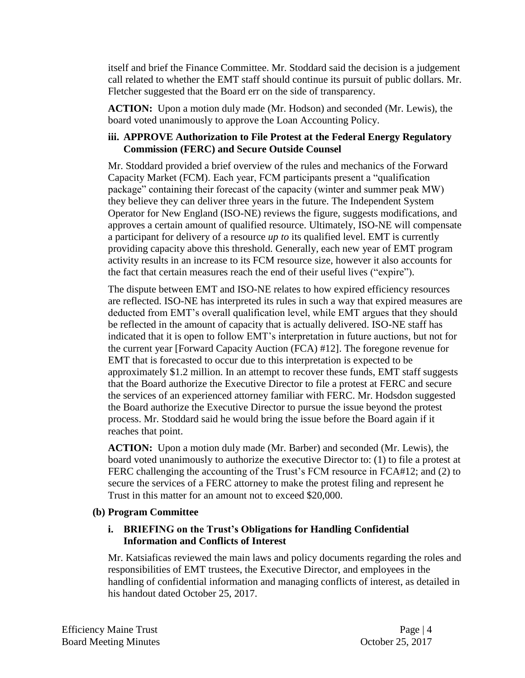itself and brief the Finance Committee. Mr. Stoddard said the decision is a judgement call related to whether the EMT staff should continue its pursuit of public dollars. Mr. Fletcher suggested that the Board err on the side of transparency.

**ACTION:** Upon a motion duly made (Mr. Hodson) and seconded (Mr. Lewis), the board voted unanimously to approve the Loan Accounting Policy.

# **iii. APPROVE Authorization to File Protest at the Federal Energy Regulatory Commission (FERC) and Secure Outside Counsel**

Mr. Stoddard provided a brief overview of the rules and mechanics of the Forward Capacity Market (FCM). Each year, FCM participants present a "qualification package" containing their forecast of the capacity (winter and summer peak MW) they believe they can deliver three years in the future. The Independent System Operator for New England (ISO-NE) reviews the figure, suggests modifications, and approves a certain amount of qualified resource. Ultimately, ISO-NE will compensate a participant for delivery of a resource *up to* its qualified level. EMT is currently providing capacity above this threshold. Generally, each new year of EMT program activity results in an increase to its FCM resource size, however it also accounts for the fact that certain measures reach the end of their useful lives ("expire").

The dispute between EMT and ISO-NE relates to how expired efficiency resources are reflected. ISO-NE has interpreted its rules in such a way that expired measures are deducted from EMT's overall qualification level, while EMT argues that they should be reflected in the amount of capacity that is actually delivered. ISO-NE staff has indicated that it is open to follow EMT's interpretation in future auctions, but not for the current year [Forward Capacity Auction (FCA) #12]. The foregone revenue for EMT that is forecasted to occur due to this interpretation is expected to be approximately \$1.2 million. In an attempt to recover these funds, EMT staff suggests that the Board authorize the Executive Director to file a protest at FERC and secure the services of an experienced attorney familiar with FERC. Mr. Hodsdon suggested the Board authorize the Executive Director to pursue the issue beyond the protest process. Mr. Stoddard said he would bring the issue before the Board again if it reaches that point.

**ACTION:** Upon a motion duly made (Mr. Barber) and seconded (Mr. Lewis), the board voted unanimously to authorize the executive Director to: (1) to file a protest at FERC challenging the accounting of the Trust's FCM resource in FCA#12; and (2) to secure the services of a FERC attorney to make the protest filing and represent he Trust in this matter for an amount not to exceed \$20,000.

# **(b) Program Committee**

# **i. BRIEFING on the Trust's Obligations for Handling Confidential Information and Conflicts of Interest**

Mr. Katsiaficas reviewed the main laws and policy documents regarding the roles and responsibilities of EMT trustees, the Executive Director, and employees in the handling of confidential information and managing conflicts of interest, as detailed in his handout dated October 25, 2017.